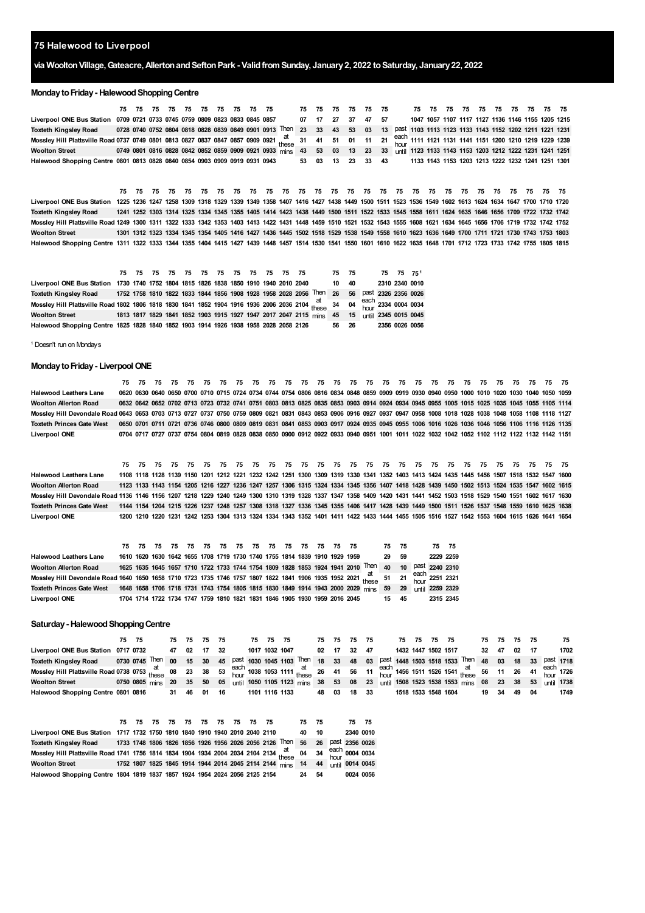## **Halewood to Liverpool**

# **via WooltonVillage,Gateacre,AllertonandSeftonPark - ValidfromSunday, January2, 2022 toSaturday, January22, 2022**

### **Monday to Friday - Halewood Shopping Centre**

|                                                                                                                                                                          |             |  | 75 75 75 75 75 75 75 75 75 75 |      |  |  | 75 75 75 75                                                        |    |    |      |       | 75 75 75 75 75 75 75 75 75 75 75 75 75                        |  |  |  |  |                                                   |  |
|--------------------------------------------------------------------------------------------------------------------------------------------------------------------------|-------------|--|-------------------------------|------|--|--|--------------------------------------------------------------------|----|----|------|-------|---------------------------------------------------------------|--|--|--|--|---------------------------------------------------|--|
| Liverpool ONE Bus Station 0709 0721 0733 0745 0759 0809 0823 0833 0845 0857 07 17                                                                                        |             |  |                               |      |  |  |                                                                    | 27 | 37 |      | 47 57 |                                                               |  |  |  |  | 1047 1057 1107 1117 1127 1136 1146 1155 1205 1215 |  |
| Toxteth Kingsley Road                                                                                                                                                    |             |  |                               |      |  |  | 0728 0740 0752 0804 0818 0828 0839 0849 0901 0913 Then 23 33 43 53 |    |    | - 03 |       | 13 past 1103 1113 1123 1133 1143 1152 1202 1211 1221 1231     |  |  |  |  |                                                   |  |
| Mossley Hill Plattsville Road 0737 0749 0801 0813 0827 0837 0847 0857 0909 0921 these 31 41 51 01 11 21 <sup>each</sup> 111 1121 1131 1141 1151 1200 1210 1219 1229 1239 |             |  |                               |      |  |  |                                                                    |    |    |      |       |                                                               |  |  |  |  |                                                   |  |
| Woolton Street <b>Wools</b>                                                                                                                                              |             |  |                               |      |  |  | 0749 0801 0816 0828 0842 0852 0859 0909 0921 0933 mins 43 53 03 13 |    |    |      |       | 23 33 until 1123 1133 1143 1153 1203 1212 1222 1231 1241 1251 |  |  |  |  |                                                   |  |
| Halewood Shopping Centre 0801 0813 0828 0840 0854 0903 0909 0919 0931 0943                                                                                               |             |  |                               |      |  |  | 53 03 13 23 33 43                                                  |    |    |      |       |                                                               |  |  |  |  | 1133 1143 1153 1203 1213 1222 1232 1241 1251 1301 |  |
|                                                                                                                                                                          |             |  |                               |      |  |  |                                                                    |    |    |      |       |                                                               |  |  |  |  |                                                   |  |
|                                                                                                                                                                          |             |  |                               |      |  |  |                                                                    |    |    |      |       |                                                               |  |  |  |  |                                                   |  |
|                                                                                                                                                                          | 75 75 75 75 |  | 75 75 75                      | - 75 |  |  |                                                                    |    |    |      |       |                                                               |  |  |  |  | 75 75 75 75 75 75                                 |  |
| Liverpool ONE Bus Station 1225 1236 1247 1258 1309 1318 1329 1339 1349 1358 1407 1416 1427 1438 1449 1500 1511 1523 1536 1549 1602 1613 1624 1634 1647 1700 1710 1720    |             |  |                               |      |  |  |                                                                    |    |    |      |       |                                                               |  |  |  |  |                                                   |  |

**75 75 75 75 75 75 75**

Toxteth Kingsley Road 1241 1252 1303 1314 1325 1334 1345 1355 1405 1414 1423 1438 1449 1500 1511 1522 1533 1545 1558 1611 1624 1635 1646 1656 1709 1722 1732 1742 Mossley Hill Plattsville Road 1249 1300 1311 1322 1333 1342 1353 1403 1413 1422 1431 1448 1459 1510 1521 1532 1543 1555 1608 1621 1634 1645 1656 1706 1719 1732 1742 1752 Woolton Street 1301 1312 1323 1334 1345 1354 1405 1416 1427 1436 1445 1502 1518 1529 1538 1549 1558 1610 1623 1636 1649 1700 1711 1721 1730 1743 1753 1803 Halewood Shopping Centre 1311 1322 1333 1344 1355 1404 1415 1427 1439 1448 1457 1514 1530 1541 1550 1601 1610 1622 1635 1648 1701 1712 1723 1733 1742 1755 1805 1815

|                                                                                                                           |  |  |  |  |  | 75 75 75 75 75 75 75 75 75 75 75 75 75 |                                                                                             | 75 75 |  | 75 75 75 1 |                |
|---------------------------------------------------------------------------------------------------------------------------|--|--|--|--|--|----------------------------------------|---------------------------------------------------------------------------------------------|-------|--|------------|----------------|
| Liverpool ONE Bus Station 1730 1740 1752 1804 1815 1826 1838 1850 1910 1940 2010 2040                                     |  |  |  |  |  |                                        |                                                                                             | 10 40 |  |            | 2310 2340 0010 |
| <b>Toxteth Kingsley Road</b>                                                                                              |  |  |  |  |  |                                        | 1752 1758 1810 1822 1833 1844 1856 1908 1928 1958 2028 2056 Then 26 56 Past 2326 2356 0026  |       |  |            |                |
| Mossley Hill Plattsville Road 1802 1806 1818 1830 1841 1852 1904 1916 1936 2006 2036 2104 these 34 04 each 2334 0004 0034 |  |  |  |  |  |                                        |                                                                                             |       |  |            |                |
| <b>Woolton Street</b>                                                                                                     |  |  |  |  |  |                                        | 1813 1817 1829 1841 1852 1903 1915 1927 1947 2017 2047 2115 mins 45 15 until 2345 0015 0045 |       |  |            |                |
| Halewood Shopping Centre 1825 1828 1840 1852 1903 1914 1926 1938 1958 2028 2058 2126                                      |  |  |  |  |  |                                        |                                                                                             | 56 26 |  |            | 2356 0026 0056 |

<span id="page-0-0"></span><sup>1</sup> Doesn't run on Mondays

### **Monday to Friday - Liverpool ONE**

| <b>Halewood Leathers Lane</b>                                                                                                                                           |  |  |  |  |  |  |  |  |  |  |  |  |  | 0620 0630 0640 0650 0700 0710 0715 0724 0734 0744 0754 0806 0816 0834 0848 0859 0909 0919 0930 0940 0950 1000 1010 1020 1030 1040 1050 1059 |  |
|-------------------------------------------------------------------------------------------------------------------------------------------------------------------------|--|--|--|--|--|--|--|--|--|--|--|--|--|---------------------------------------------------------------------------------------------------------------------------------------------|--|
| <b>Woolton Allerton Road</b>                                                                                                                                            |  |  |  |  |  |  |  |  |  |  |  |  |  | 0632 0642 0652 0702 0713 0723 0732 0741 0751 0803 0813 0825 0835 0853 0903 0914 0924 0934 0945 0955 1005 1015 1025 1035 1045 1055 1105 1114 |  |
| Mosslev Hill Devondale Road 0643 0653 0703 0713 0727 0737 0750 0759 0809 0821 0831 0843 0853 0906 0916 0927 0937 0947 0958 1008 1018 1028 1038 1048 1058 1018 1118 1127 |  |  |  |  |  |  |  |  |  |  |  |  |  |                                                                                                                                             |  |
| <b>Toxteth Princes Gate West</b>                                                                                                                                        |  |  |  |  |  |  |  |  |  |  |  |  |  | 0650 0701 0711 0721 0736 0746 0800 0809 0819 0831 0841 0853 0903 0917 0924 0935 0945 0955 1006 1016 1026 1036 1046 1056 1106 1116 1126 1135 |  |
| <b>Liverpool ONE</b>                                                                                                                                                    |  |  |  |  |  |  |  |  |  |  |  |  |  | 0704 0717 0727 0737 0754 0804 0819 0828 0838 0850 0900 0912 0922 0933 0940 0951 1001 1011 1022 1032 1042 1052 1102 1112 1122 1132 1142 1151 |  |

**Halewood Leathers Lane** Woolton Alerton Road 1123 1133 1143 1154 1205 1216 1227 1236 1247 1257 1306 1315 1324 1334 1345 1356 1407 1418 1428 1439 1450 1502 1513 1524 1535 1547 1602 1615 Mossley Hill Devondale Road 1136 1146 1156 1207 1218 1229 1240 1249 1300 1310 1319 1328 1337 1347 1358 1409 1420 1431 1441 1452 1503 1518 1529 1540 1551 1602 1617 1630 Toxteth Princes Gate West 1144 1154 1204 1215 1226 1237 1248 1257 1308 1318 1327 1336 1345 1355 1406 1417 1428 1439 1449 1500 1511 1526 1537 1548 1559 1610 1625 1638 **Liverpool ONE 75 75 75 75 75 75 75 75 75 75 75 75 75 75 75 75 75 75 75 75 75 75 75 75 75 75 75** 1108 1118 1128 1139 1150 1201 1212 1221 1232 1242 1251 1300 1309 1319 1330 1341 1352 1403 1413 1424 1435 1445 1456 1507 1518 1532 1547 1600 1200 1210 1220 1231 1242 1253 1304 1313 1324 1334 1343 1352 1401 1411 1422 1433 1444 1455 1505 1516 1527 1542 1553 1604 1615 1626 1641 1654

|                                                                                                                                      |  |  |  |  |                                                                            |  |  |                                                                                                      | 75 75 |  | 75 75     |           |
|--------------------------------------------------------------------------------------------------------------------------------------|--|--|--|--|----------------------------------------------------------------------------|--|--|------------------------------------------------------------------------------------------------------|-------|--|-----------|-----------|
| <b>Halewood Leathers Lane</b>                                                                                                        |  |  |  |  | 1610 1620 1630 1642 1655 1708 1719 1730 1740 1755 1814 1839 1910 1929 1959 |  |  |                                                                                                      | 29 59 |  | 2229 2259 |           |
| <b>Woolton Allerton Road</b>                                                                                                         |  |  |  |  |                                                                            |  |  | 1625 1635 1645 1657 1710 1722 1733 1744 1754 1809 1828 1853 1924 1941 2010 Then 40 10 Past 2240 2310 |       |  |           |           |
| Mossley Hill Devondale Road 1640 1650 1658 1710 1723 1735 1746 1757 1807 1822 1841 1906 1935 1952 2021 at these 51 21 each 2251 2321 |  |  |  |  |                                                                            |  |  |                                                                                                      |       |  |           |           |
| Toxteth Princes Gate West 1648 1658 1706 1718 1731 1743 1754 1805 1815 1830 1849 1914 1943 2000 2029 mins 59 29 until 2259 2329      |  |  |  |  |                                                                            |  |  |                                                                                                      |       |  |           |           |
| <b>Liverpool ONE</b>                                                                                                                 |  |  |  |  | 1704 1714 1722 1734 1747 1759 1810 1821 1831 1846 1905 1930 1959 2016 2045 |  |  |                                                                                                      | 15 45 |  |           | 2315 2345 |

#### **Saturday - Halewood Shopping Centre**

|                                                                                                                                                   | 75 75 |  | 75 75 75 75 |  | 75 75 75 |                |                                                                                                                        | 75 75 | - 75 | - 75 |                     | 75 75 75 75 |  |    |    | 75 75 75 75 |    | 75   |
|---------------------------------------------------------------------------------------------------------------------------------------------------|-------|--|-------------|--|----------|----------------|------------------------------------------------------------------------------------------------------------------------|-------|------|------|---------------------|-------------|--|----|----|-------------|----|------|
| Liverpool ONE Bus Station 0717 0732                                                                                                               |       |  | 47 02 17 32 |  |          | 1017 1032 1047 |                                                                                                                        | 02 17 | -32  |      | 1432 1447 1502 1517 |             |  | 32 | 47 | 02          |    | 1702 |
| Toxteth Kingslev Road                                                                                                                             |       |  |             |  |          |                | 0730 0745 Then 00 15 30 45 past 1030 1045 1103 Then 18 33 48 03 past 1448 1503 1518 1533 Then 48 03 18 33 past 1718    |       |      |      |                     |             |  |    |    |             |    |      |
| Mossley Hill Plattsville Road 0738 0753 these 08 23 38 53 each 1038 1053 1111 at 26 41 56 11 each 1456 1511 1526 1541 at at 56 11 26 41 each 1726 |       |  |             |  |          |                |                                                                                                                        |       |      |      |                     |             |  |    |    |             |    |      |
| <b>Woolton Street</b>                                                                                                                             |       |  |             |  |          |                | 0750 0805 mins 20 35 50 05 until 1050 1105 1123 mins 38 53 08 23 until 1508 1523 1538 1553 mins 08 23 38 53 until 1738 |       |      |      |                     |             |  |    |    |             |    |      |
| Halewood Shopping Centre 0801 0816                                                                                                                |       |  | 31 46 01 16 |  |          | 1101 1116 1133 |                                                                                                                        | 48 03 | 18   | 33   | 1518 1533 1548 1604 |             |  | 19 | 34 | 49          | 04 | 1749 |

|                                                                                                                                     |  |  |  | 75 75 75 75 75 75 75 75 75 75 |  |                                                              | 75 75 |     | 75 75          |                 |
|-------------------------------------------------------------------------------------------------------------------------------------|--|--|--|-------------------------------|--|--------------------------------------------------------------|-------|-----|----------------|-----------------|
| Liverpool ONE Bus Station 1717 1732 1750 1810 1840 1910 1940 2010 2040 2110                                                         |  |  |  |                               |  |                                                              | 40    | 10  | 2340 0010      |                 |
| Toxteth Kingsley Road 1733 1748 1806 1826 1856 1926 1956 2026 2056 2126 Then 56                                                     |  |  |  |                               |  |                                                              |       | 26  | past 2356 0026 |                 |
| Mossley Hill Plattsville Road 1741 1756 1814 1834 1904 1934 2004 2034 2104 2134 <sup>at</sup> these 04 34 <sup>each</sup> 0004 0034 |  |  |  |                               |  |                                                              |       |     |                |                 |
| <b>Woolton Street</b>                                                                                                               |  |  |  |                               |  | 1752 1807 1825 1845 1914 1944 2014 2045 2114 2144 mins 14 44 |       |     |                | until 0014 0045 |
| Halewood Shopping Centre 1804 1819 1837 1857 1924 1954 2024 2056 2125 2154                                                          |  |  |  |                               |  |                                                              | 24    | -54 |                | 0024 0056       |